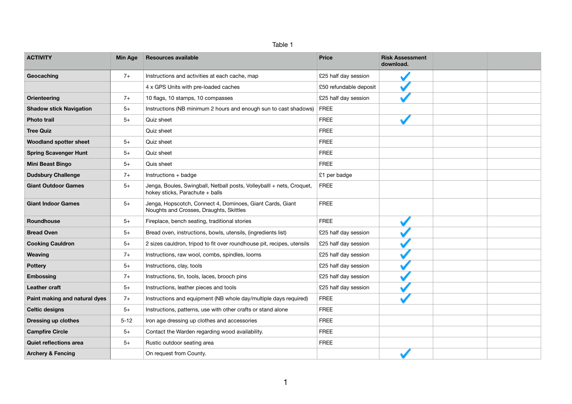| an<br>١١ |  |
|----------|--|
|----------|--|

| <b>ACTIVITY</b>                | <b>Min Age</b> | <b>Resources available</b>                                                                               | <b>Price</b>           | <b>Risk Assessment</b><br>download. |  |
|--------------------------------|----------------|----------------------------------------------------------------------------------------------------------|------------------------|-------------------------------------|--|
| Geocaching                     | $7+$           | Instructions and activities at each cache, map                                                           | £25 half day session   |                                     |  |
|                                |                | 4 x GPS Units with pre-loaded caches                                                                     | £50 refundable deposit |                                     |  |
| <b>Orienteering</b>            | $7+$           | 10 flags, 10 stamps, 10 compasses                                                                        | £25 half day session   |                                     |  |
| <b>Shadow stick Navigation</b> | $5+$           | Instructions (NB minimum 2 hours and enough sun to cast shadows)                                         | <b>FREE</b>            |                                     |  |
| <b>Photo trail</b>             | $5+$           | Quiz sheet                                                                                               | <b>FREE</b>            |                                     |  |
| <b>Tree Quiz</b>               |                | Quiz sheet                                                                                               | <b>FREE</b>            |                                     |  |
| <b>Woodland spotter sheet</b>  | $5+$           | Quiz sheet                                                                                               | <b>FREE</b>            |                                     |  |
| <b>Spring Scavenger Hunt</b>   | $5+$           | Quiz sheet                                                                                               | <b>FREE</b>            |                                     |  |
| <b>Mini Beast Bingo</b>        | $5+$           | Quis sheet                                                                                               | <b>FREE</b>            |                                     |  |
| <b>Dudsbury Challenge</b>      | $7+$           | Instructions + badge                                                                                     | £1 per badge           |                                     |  |
| <b>Giant Outdoor Games</b>     | $5+$           | Jenga, Boules, Swingball, Netball posts, Volleyballl + nets, Croquet,<br>hokey sticks, Parachute + balls | <b>FREE</b>            |                                     |  |
| <b>Giant Indoor Games</b>      | $5+$           | Jenga, Hopscotch, Connect 4, Dominoes, Giant Cards, Giant<br>Noughts and Crosses, Draughts, Skittles     | <b>FREE</b>            |                                     |  |
| Roundhouse                     | $5+$           | Fireplace, bench seating, traditional stories                                                            | <b>FREE</b>            |                                     |  |
| <b>Bread Oven</b>              | $5+$           | Bread oven, instructions, bowls, utensils, (ingredients list)                                            | £25 half day session   |                                     |  |
| <b>Cooking Cauldron</b>        | $5+$           | 2 sizes cauldron, tripod to fit over roundhouse pit, recipes, utensils                                   | £25 half day session   |                                     |  |
| Weaving                        | $7+$           | Instructions, raw wool, combs, spindles, looms                                                           | £25 half day session   |                                     |  |
| <b>Pottery</b>                 | $5+$           | Instructions, clay, tools                                                                                | £25 half day session   |                                     |  |
| <b>Embossing</b>               | $7+$           | Instructions, tin, tools, laces, brooch pins                                                             | £25 half day session   |                                     |  |
| <b>Leather craft</b>           | $5+$           | Instructions, leather pieces and tools                                                                   | £25 half day session   |                                     |  |
| Paint making and natural dyes  | $7+$           | Instructions and equipment (NB whole day/multiple days required)                                         | <b>FREE</b>            |                                     |  |
| <b>Celtic designs</b>          | $5+$           | Instructions, patterns, use with other crafts or stand alone                                             | <b>FREE</b>            |                                     |  |
| <b>Dressing up clothes</b>     | $5 - 12$       | Iron age dressing up clothes and accessories                                                             | <b>FREE</b>            |                                     |  |
| <b>Campfire Circle</b>         | $5+$           | Contact the Warden regarding wood availability.                                                          | <b>FREE</b>            |                                     |  |
| Quiet reflections area         | $5+$           | Rustic outdoor seating area                                                                              | <b>FREE</b>            |                                     |  |
| <b>Archery &amp; Fencing</b>   |                | On request from County.                                                                                  |                        |                                     |  |